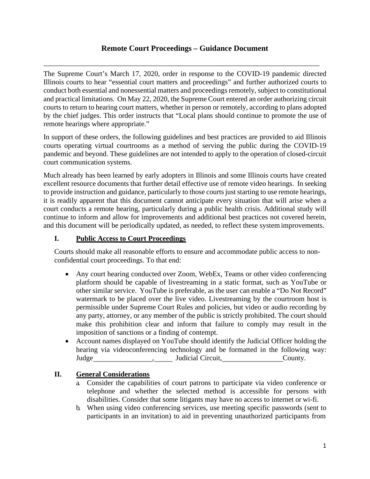# **Remote Court Proceedings – Guidance Document**

 conduct both essential and nonessential matters and proceedings remotely, subject to constitutional and practical limitations. On May 22, 2020, the Supreme Court entered an order authorizing circuit courts to return to hearing court matters, whether in person or remotely, according to plans adopted The Supreme Court's March 17, 2020, order in response to the COVID-19 pandemic directed Illinois courts to hear "essential court matters and proceedings" and further authorized courts to by the chief judges. This order instructs that "Local plans should continue to promote the use of remote hearings where appropriate."

 pandemic and beyond. These guidelines are not intended to apply to the operation of closed-circuit In support of these orders, the following guidelines and best practices are provided to aid Illinois courts operating virtual courtrooms as a method of serving the public during the COVID-19 court communication systems.

 Much already has been learned by early adopters in Illinois and some Illinois courts have created excellent resource documents that further detail effective use of remote video hearings. In seeking to provide instruction and guidance, particularly to those courts just starting to use remote hearings, it is readily apparent that this document cannot anticipate every situation that will arise when a court conducts a remote hearing, particularly during a public health crisis. Additional study will continue to inform and allow for improvements and additional best practices not covered herein, and this document will be periodically updated, as needed, to reflect these system improvements.

### **I. Public Access to Court Proceedings**

Courts should make all reasonable efforts to ensure and accommodate public access to nonconfidential court proceedings. To that end:

- other similar service. YouTube is preferable, as the user can enable a "Do Not Record" any party, attorney, or any member of the public is strictly prohibited. The court should imposition of sanctions or a finding of contempt. • Any court hearing conducted over Zoom, WebEx, Teams or other video conferencing platform should be capable of livestreaming in a static format, such as YouTube or watermark to be placed over the live video. Livestreaming by the courtroom host is permissible under Supreme Court Rules and policies, but video or audio recording by make this prohibition clear and inform that failure to comply may result in the
- Judge County. Judicial Circuit, County. • Account names displayed on YouTube should identify the Judicial Officer holding the hearing via videoconferencing technology and be formatted in the following way:

## **II. General Considerations**

- disabilities. Consider that some litigants may have no access to internet or wi-fi. a. Consider the capabilities of court patrons to participate via video conference or telephone and whether the selected method is accessible for persons with
- participants in an invitation) to aid in preventing unauthorized participants from b. When using video conferencing services, use meeting specific passwords (sent to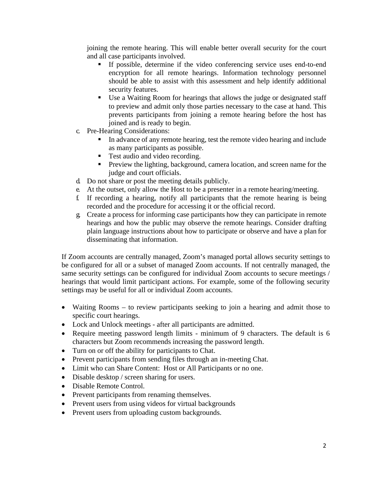joining the remote hearing. This will enable better overall security for the court and all case participants involved.

- security features. If possible, determine if the video conferencing service uses end-to-end encryption for all remote hearings. Information technology personnel should be able to assist with this assessment and help identify additional
- Use a Waiting Room for hearings that allows the judge or designated staff to preview and admit only those parties necessary to the case at hand. This prevents participants from joining a remote hearing before the host has joined and is ready to begin.
- c. Pre-Hearing Considerations:
	- In advance of any remote hearing, test the remote video hearing and include as many participants as possible.
	- Test audio and video recording.
	- **Preview the lighting, background, camera location, and screen name for the** judge and court officials.
- d. Do not share or post the meeting details publicly.
- e. At the outset, only allow the Host to be a presenter in a remote hearing/meeting.
- recorded and the procedure for accessing it or the official record. f. If recording a hearing, notify all participants that the remote hearing is being
- g. Create a process for informing case participants how they can participate in remote hearings and how the public may observe the remote hearings. Consider drafting plain language instructions about how to participate or observe and have a plan for disseminating that information.

If Zoom accounts are centrally managed, Zoom's managed portal allows security settings to be configured for all or a subset of managed Zoom accounts. If not centrally managed, the same security settings can be configured for individual Zoom accounts to secure meetings / hearings that would limit participant actions. For example, some of the following security settings may be useful for all or individual Zoom accounts.

- Waiting Rooms to review participants seeking to join a hearing and admit those to specific court hearings.
- Lock and Unlock meetings after all participants are admitted.
- Require meeting password length limits minimum of 9 characters. The default is 6 characters but Zoom recommends increasing the password length.
- Turn on or off the ability for participants to Chat.
- Prevent participants from sending files through an in-meeting Chat.
- Limit who can Share Content: Host or All Participants or no one.
- Disable desktop / screen sharing for users.
- Disable Remote Control.
- Prevent participants from renaming themselves.
- Prevent users from using videos for virtual backgrounds
- Prevent users from uploading custom backgrounds.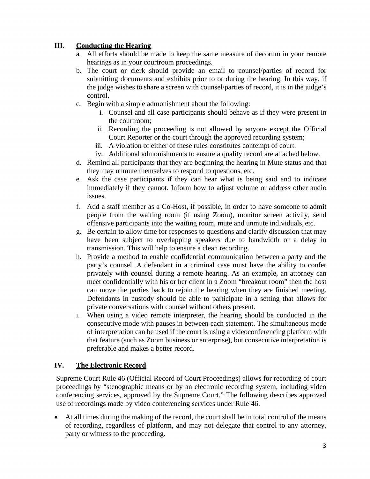### **III. Conducting the Hearing**

- a. All efforts should be made to keep the same measure of decorum in your remote hearings as in your courtroom proceedings.
- the judge wishes to share a screen with counsel/parties of record, it is in the judge's b. The court or clerk should provide an email to counsel/parties of record for submitting documents and exhibits prior to or during the hearing. In this way, if control.
- c. Begin with a simple admonishment about the following:
	- i. Counsel and all case participants should behave as if they were present in the courtroom;
	- ii. Recording the proceeding is not allowed by anyone except the Official Court Reporter or the court through the approved recording system;
	- iii. A violation of either of these rules constitutes contempt of court.
	- iv. Additional admonishments to ensure a quality record are attached below.
- d. Remind all participants that they are beginning the hearing in Mute status and that they may unmute themselves to respond to questions, etc.
- e. Ask the case participants if they can hear what is being said and to indicate immediately if they cannot. Inform how to adjust volume or address other audio issues.
- f. Add a staff member as a Co-Host, if possible, in order to have someone to admit people from the waiting room (if using Zoom), monitor screen activity, send offensive participants into the waiting room, mute and unmute individuals, etc.
- g. Be certain to allow time for responses to questions and clarify discussion that may have been subject to overlapping speakers due to bandwidth or a delay in transmission. This will help to ensure a clean recording.
- private conversations with counsel without others present. h. Provide a method to enable confidential communication between a party and the party's counsel. A defendant in a criminal case must have the ability to confer privately with counsel during a remote hearing. As an example, an attorney can meet confidentially with his or her client in a Zoom "breakout room" then the host can move the parties back to rejoin the hearing when they are finished meeting. Defendants in custody should be able to participate in a setting that allows for
- of interpretation can be used if the court is using a videoconferencing platform with that feature (such as Zoom business or enterprise), but consecutive interpretation is preferable and makes a better record. i. When using a video remote interpreter, the hearing should be conducted in the consecutive mode with pauses in between each statement. The simultaneous mode

#### **IV. The Electronic Record**

 conferencing services, approved by the Supreme Court." The following describes approved use of recordings made by video conferencing services under Rule 46. Supreme Court Rule 46 (Official Record of Court Proceedings) allows for recording of court proceedings by "stenographic means or by an electronic recording system, including video

 • At all times during the making of the record, the court shall be in total control of the means party or witness to the proceeding. of recording, regardless of platform, and may not delegate that control to any attorney,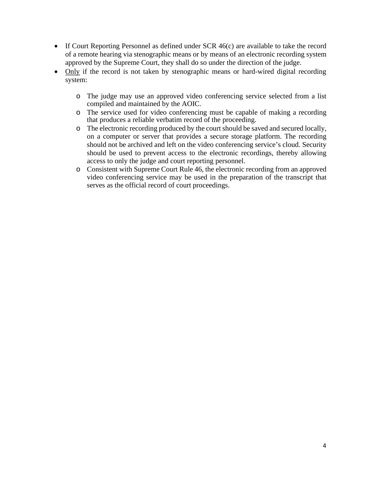- of a remote hearing via stenographic means or by means of an electronic recording system • If Court Reporting Personnel as defined under SCR 46(c) are available to take the record approved by the Supreme Court, they shall do so under the direction of the judge.
- Only if the record is not taken by stenographic means or hard-wired digital recording system:
	- compiled and maintained by the AOIC. o The judge may use an approved video conferencing service selected from a list
	- that produces a reliable verbatim record of the proceeding. o The service used for video conferencing must be capable of making a recording
	- o The electronic recording produced by the court should be saved and secured locally, should not be archived and left on the video conferencing service's cloud. Security on a computer or server that provides a secure storage platform. The recording should be used to prevent access to the electronic recordings, thereby allowing access to only the judge and court reporting personnel.
	- o Consistent with Supreme Court Rule 46, the electronic recording from an approved video conferencing service may be used in the preparation of the transcript that serves as the official record of court proceedings.